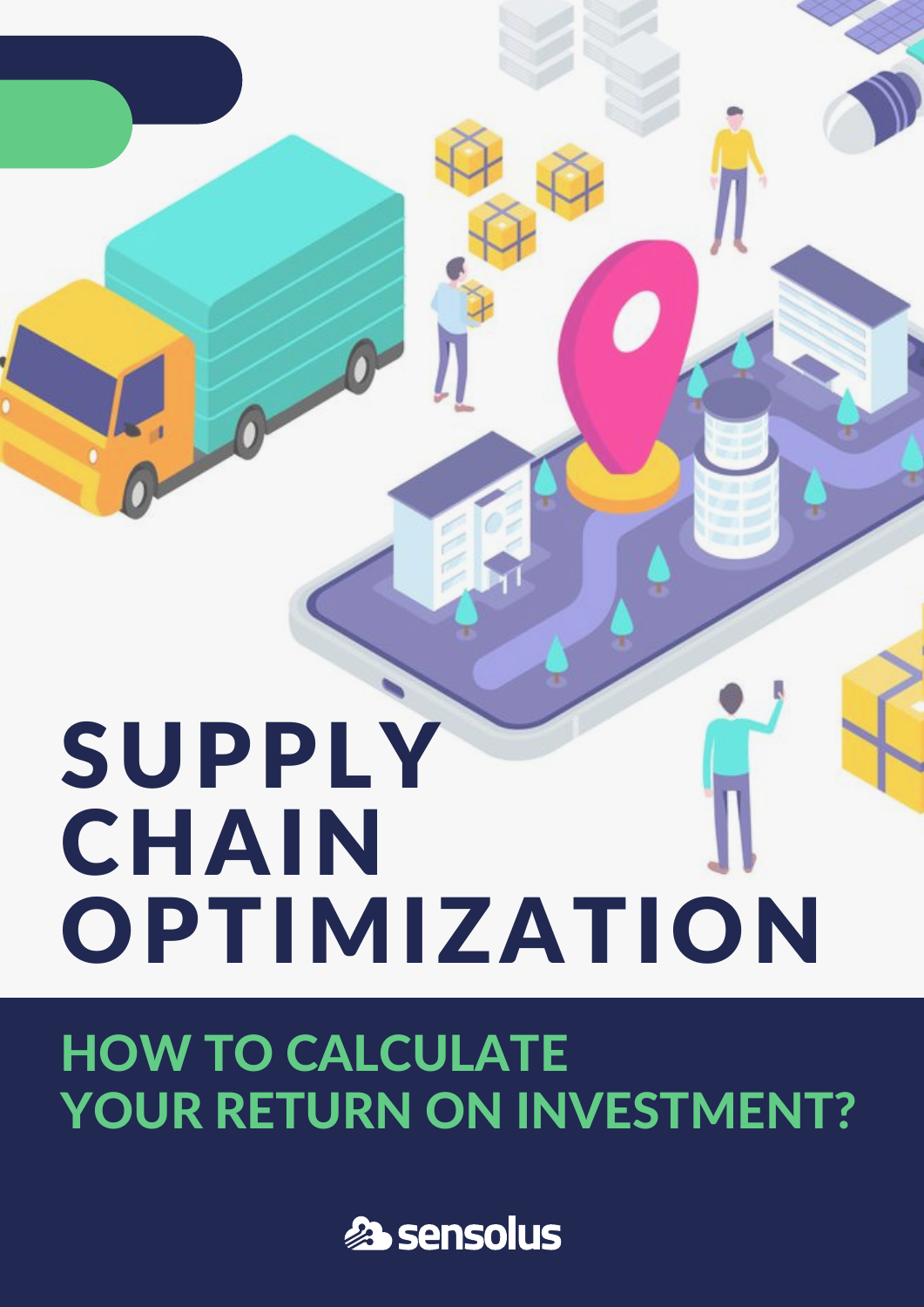# SUPPLY CHAIN OPTIMIZATION

### HOW TO CALCULATE YOUR RETURN ON INVESTMENT?

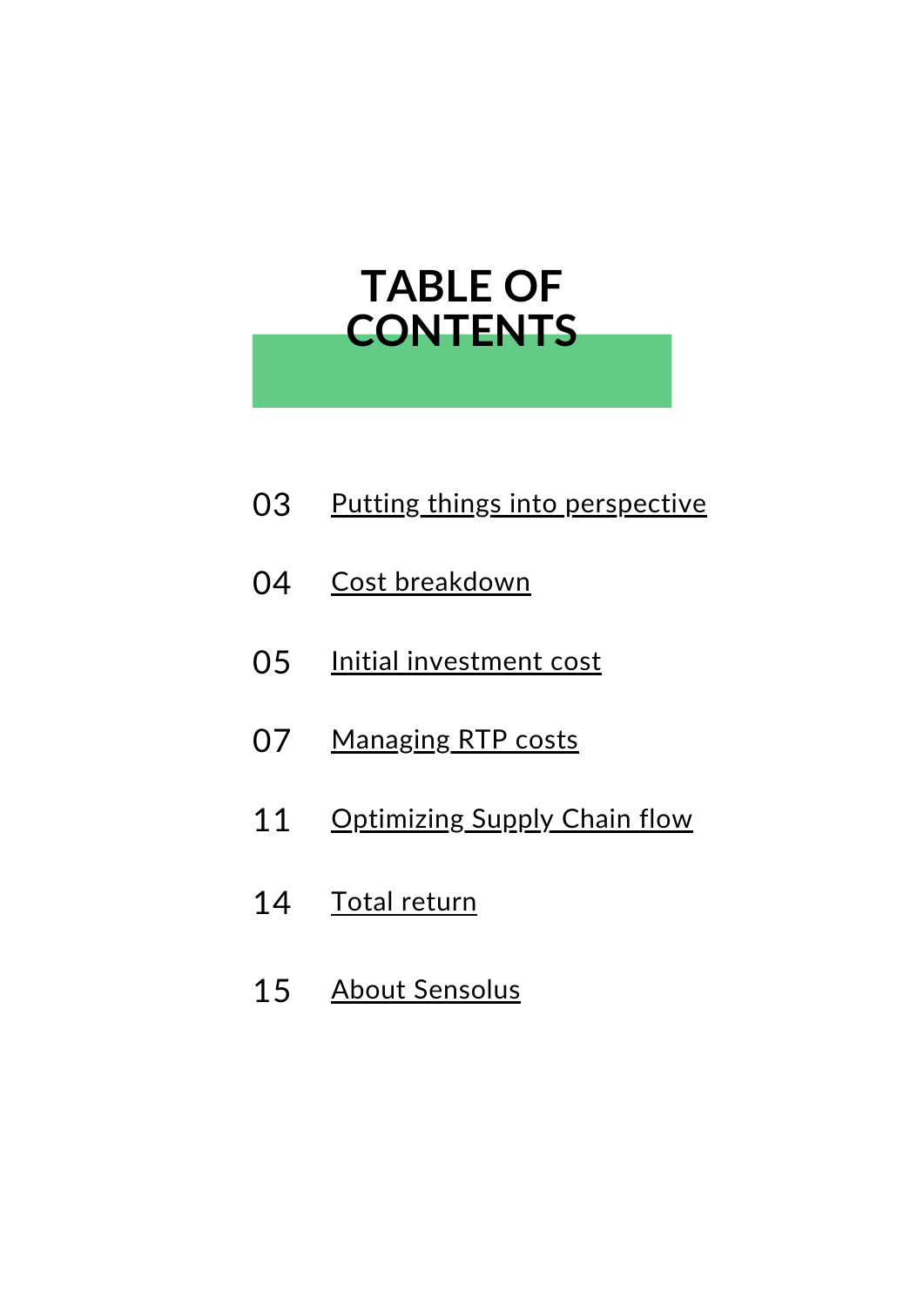#### **TABLE OF CONTENTS**

- Putting things into [perspective](#page-2-0) 03
- 04 Cost [breakdown](#page-3-0)
- Initial [investment](#page-4-0) cost 05
- [Managing](#page-6-0) RTP costs 07
- [Optimizing](#page-10-0) Supply Chain flow 11
- 14 Total [return](#page-13-0)
- About [Sensolus](#page-14-0) 15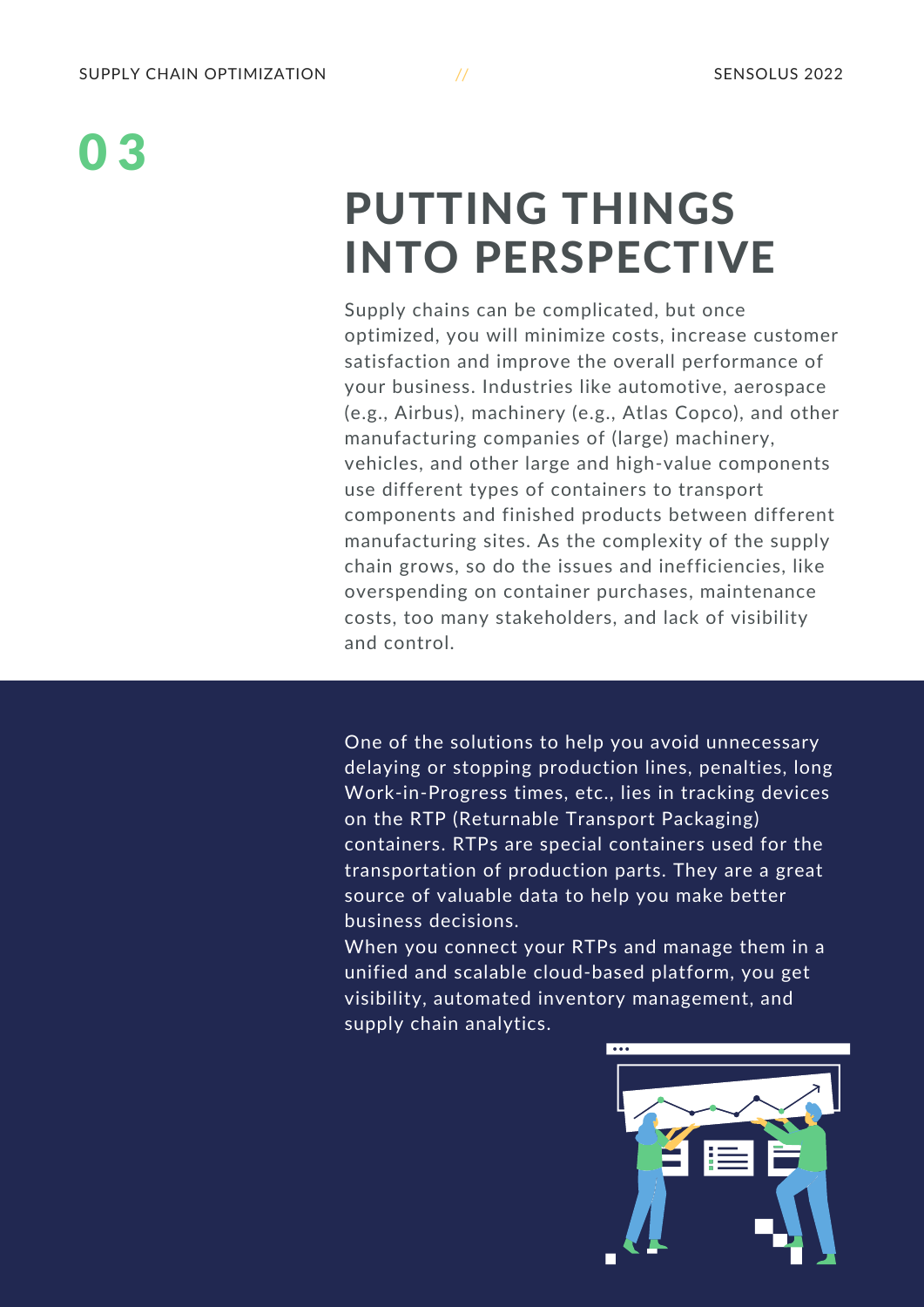#### <span id="page-2-0"></span>PUTTING THINGS INTO PERSPECTIVE

Supply chains can be complicated, but once optimized, you will minimize costs, increase customer satisfaction and improve the overall performance of your business. Industries like automotive, aerospace (e.g., Airbus), machinery (e.g., Atlas Copco), and other manufacturing companies of (large) machinery, vehicles, and other large and high-value components use different types of containers to transport components and finished products between different manufacturing sites. As the complexity of the supply chain grows, so do the issues and inefficiencies, like overspending on container purchases, maintenance costs, too many stakeholders, and lack of visibility and control.

One of the solutions to help you avoid unnecessary delaying or stopping production lines, penalties, long Work-in-Progress times, etc., lies in tracking devices on the RTP (Returnable Transport Packaging) containers. RTPs are special containers used for the transportation of production parts. They are a great source of valuable data to help you make better business decisions.

When you connect your RTPs and manage them in a unified and scalable cloud-based platform, you get visibility, automated inventory management, and supply chain analytics.

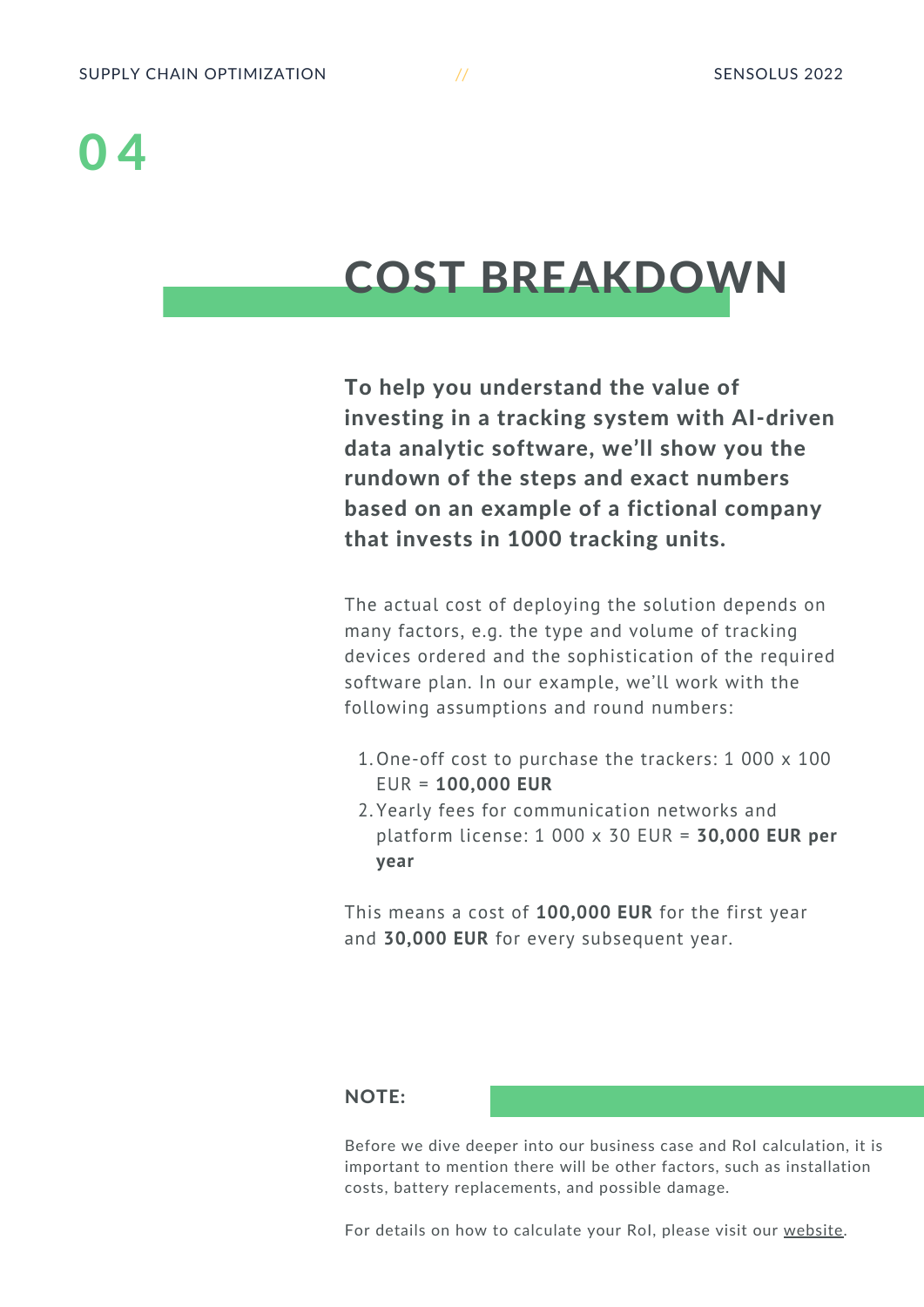#### <span id="page-3-0"></span>COST BREAKDOWN

To help you understand the value of investing in a tracking system with AI-driven data analytic software, we'll show you the rundown of the steps and exact numbers based on an example of a fictional company that invests in 1000 tracking units.

The actual cost of deploying the solution depends on many factors, e.g. the type and volume of tracking devices ordered and the sophistication of the required software plan. In our example, we'll work with the following assumptions and round numbers:

- 1. One-off cost to purchase the trackers: 1 000 x 100 EUR = **100,000 EUR**
- Yearly fees for communication networks and 2. platform license: 1 000 x 30 EUR = **30,000 EUR per year**

This means a cost of **100,000 EUR** for the first year and **30,000 EUR** for every subsequent year.

#### NOTE:

Before we dive deeper into our business case and RoI calculation, it is important to mention there will be other factors, such as installation costs, battery replacements, and possible damage.

For details on how to calculate your RoI, please visit our [website](https://www.sensolus.com/resources/roi/).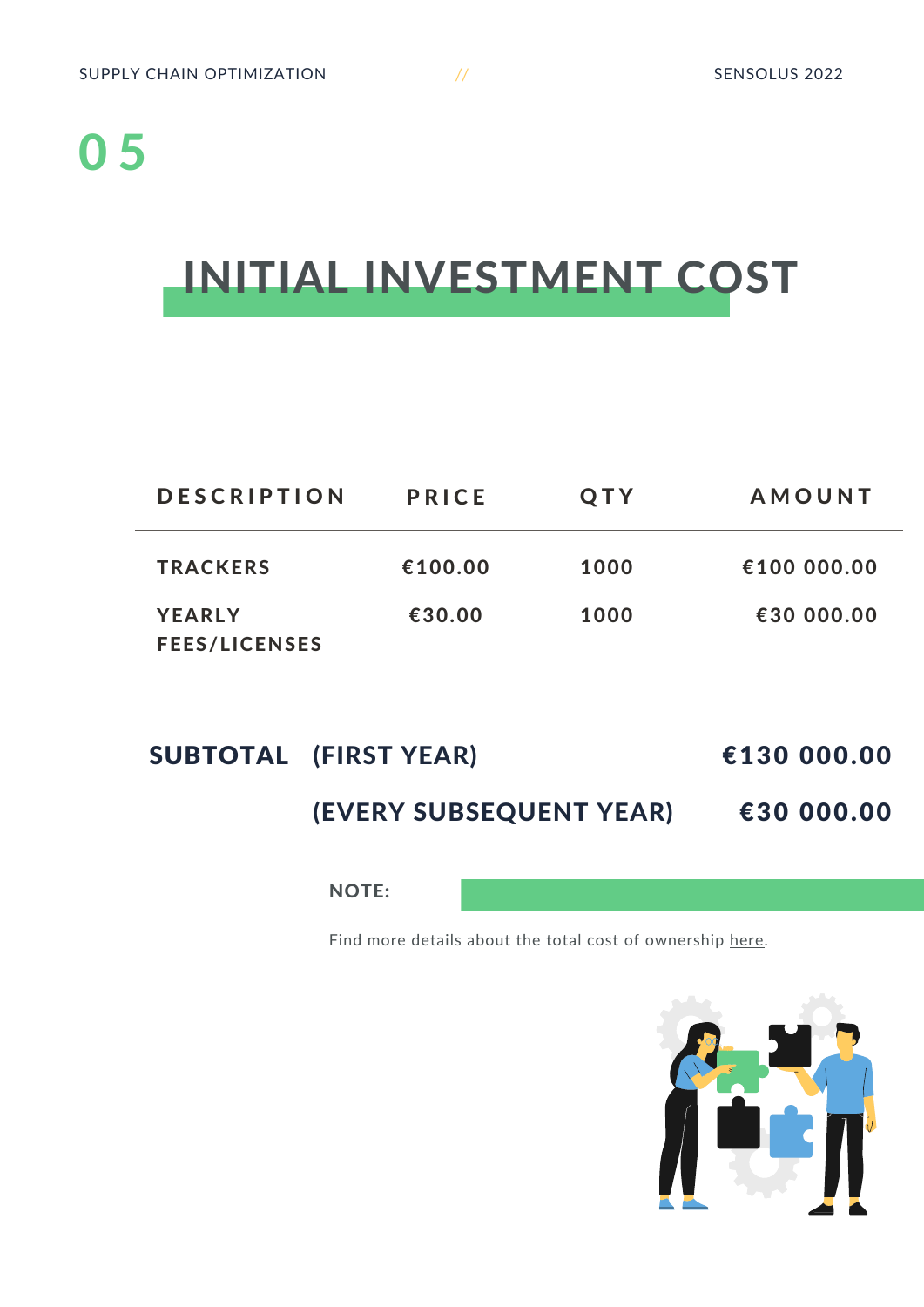#### <span id="page-4-0"></span>INITIAL INVESTMENT COST

| <b>DESCRIPTION</b>                    | <b>PRICE</b> | QTY  | <b>AMOUNT</b> |
|---------------------------------------|--------------|------|---------------|
| <b>TRACKERS</b>                       | €100.00      | 1000 | €100 000.00   |
| <b>YEARLY</b><br><b>FEES/LICENSES</b> | €30.00       | 1000 | €30 000.00    |

| SUBTOTAL (FIRST YEAR)          | €130 000.00 |
|--------------------------------|-------------|
| <b>(EVERY SUBSEQUENT YEAR)</b> | €30 000.00  |

NOTE:

Find more details about the total cost of ownership [here.](https://www.sensolus.com/pricing/tco-pricing/)

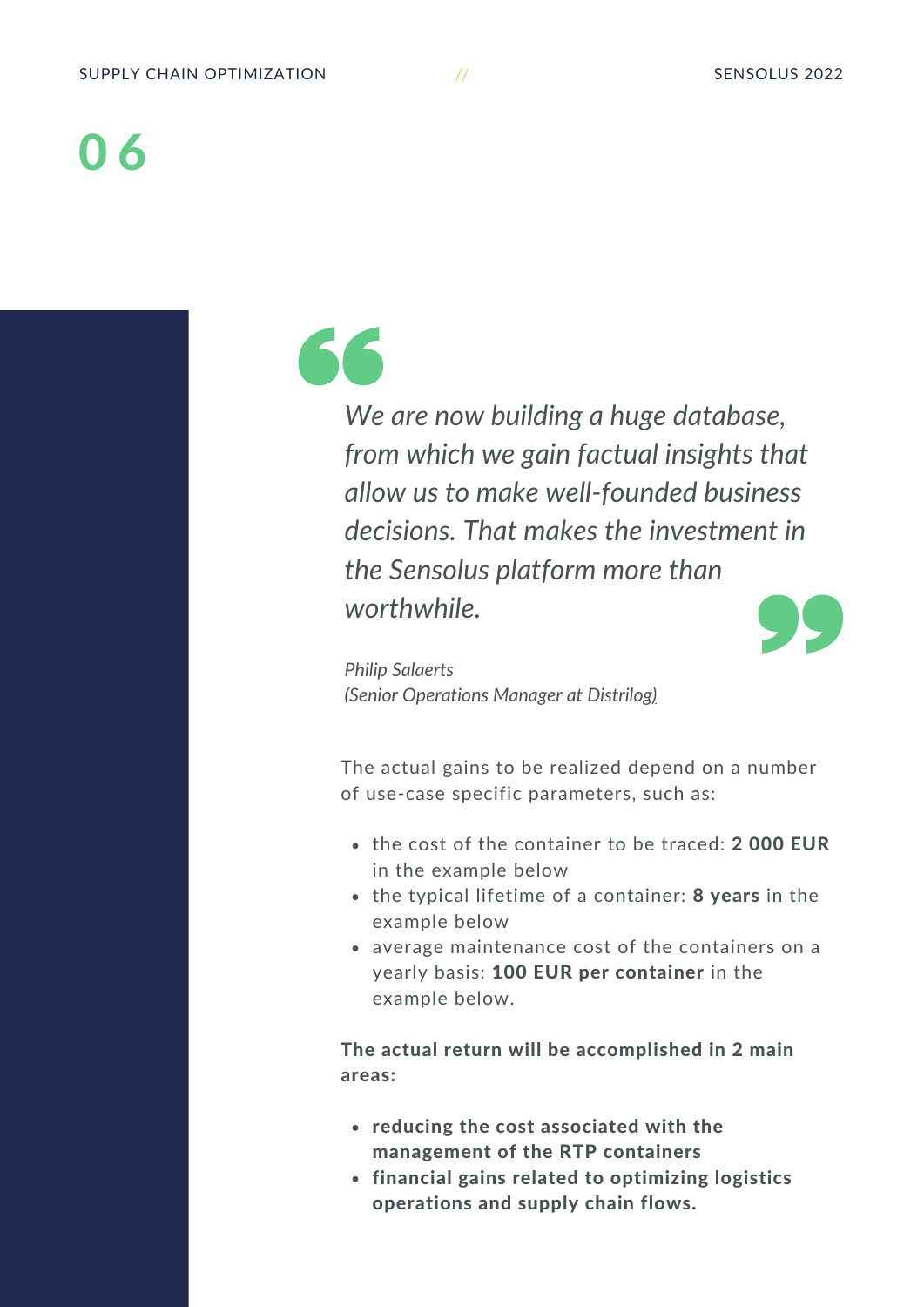*We are now building a huge database, from which we gain factual insights that allow us to make well-founded business decisions. That makes the investment in the Sensolus platform more than worthwhile.*



*Philip Salaerts (Senior Operations Manager at [Distrilog\)](https://www.sensolus.com/distrilog/)*

The actual gains to be realized depend on a number of use-case specific parameters, such as:

- the cost of the container to be traced: 2 000 EUR in the example below
- the typical lifetime of a container: 8 years in the example below
- average maintenance cost of the containers on a yearly basis: 100 EUR per container in the example below.

The actual return will be accomplished in 2 main areas:

- reducing the cost associated with the management of the RTP containers
- financial gains related to optimizing logistics operations and supply chain flows.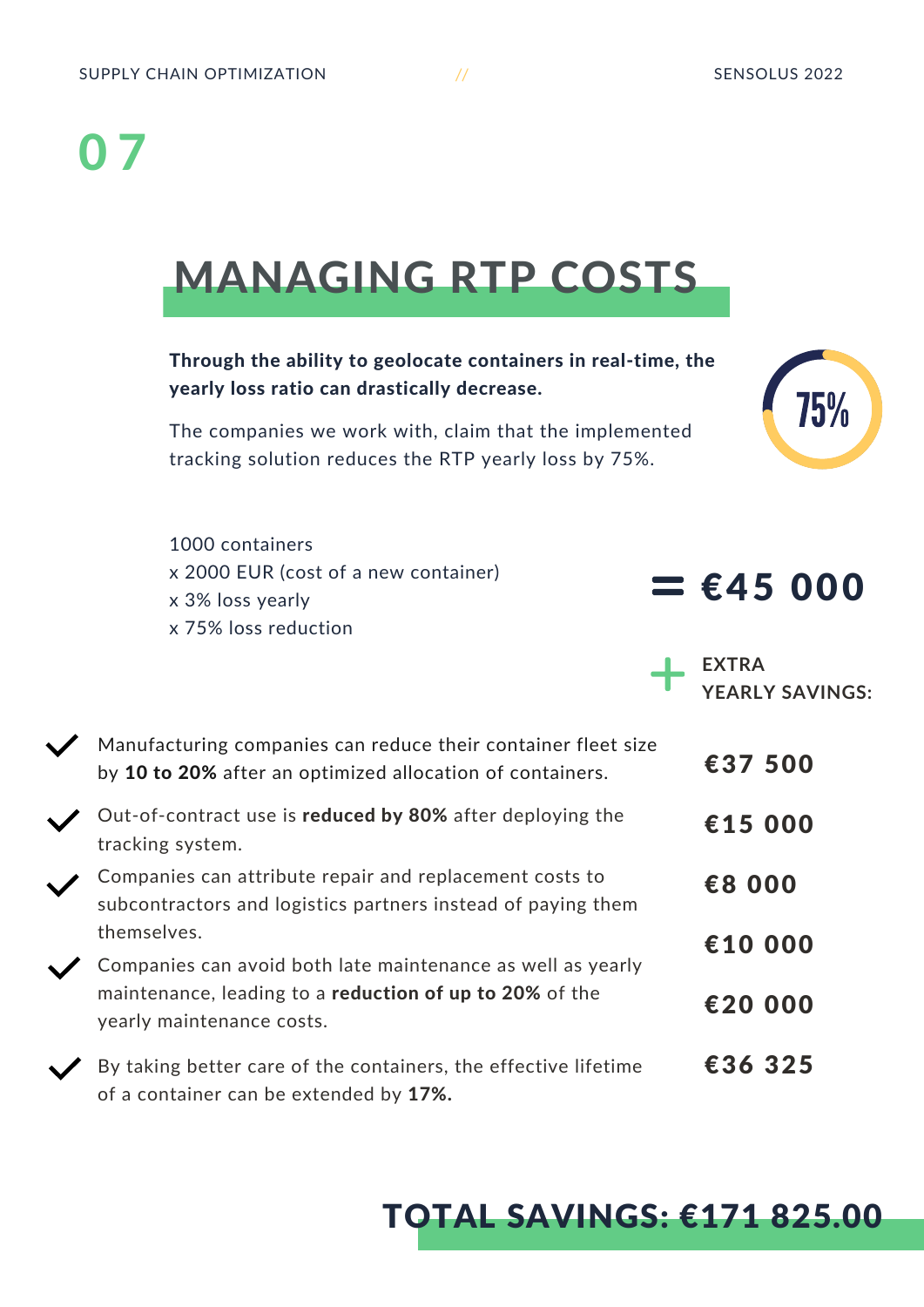#### <span id="page-6-0"></span>MANAGING RTP COSTS

#### Through the ability to geolocate containers in real-time, the yearly loss ratio can drastically decrease.

The companies we work with, claim that the implemented tracking solution reduces the RTP yearly loss by 75%.

1000 containers x 2000 EUR (cost of a new container) x 3% loss yearly x 75% loss reduction



#### $=$  €45 000

**EXTRA YEARLY SAVINGS:**

| Manufacturing companies can reduce their container fleet size<br>by 10 to 20% after an optimized allocation of containers.             | €37 500 |
|----------------------------------------------------------------------------------------------------------------------------------------|---------|
| Out-of-contract use is reduced by 80% after deploying the<br>tracking system.                                                          | €15 000 |
| Companies can attribute repair and replacement costs to<br>subcontractors and logistics partners instead of paying them<br>themselves. | €8 000  |
| Companies can avoid both late maintenance as well as yearly                                                                            | €10 000 |
| maintenance, leading to a reduction of up to 20% of the<br>yearly maintenance costs.                                                   | €20 000 |
| By taking better care of the containers, the effective lifetime<br>of a container can be extended by 17%.                              | €36 325 |

#### TOTAL SAVINGS: €171 825.00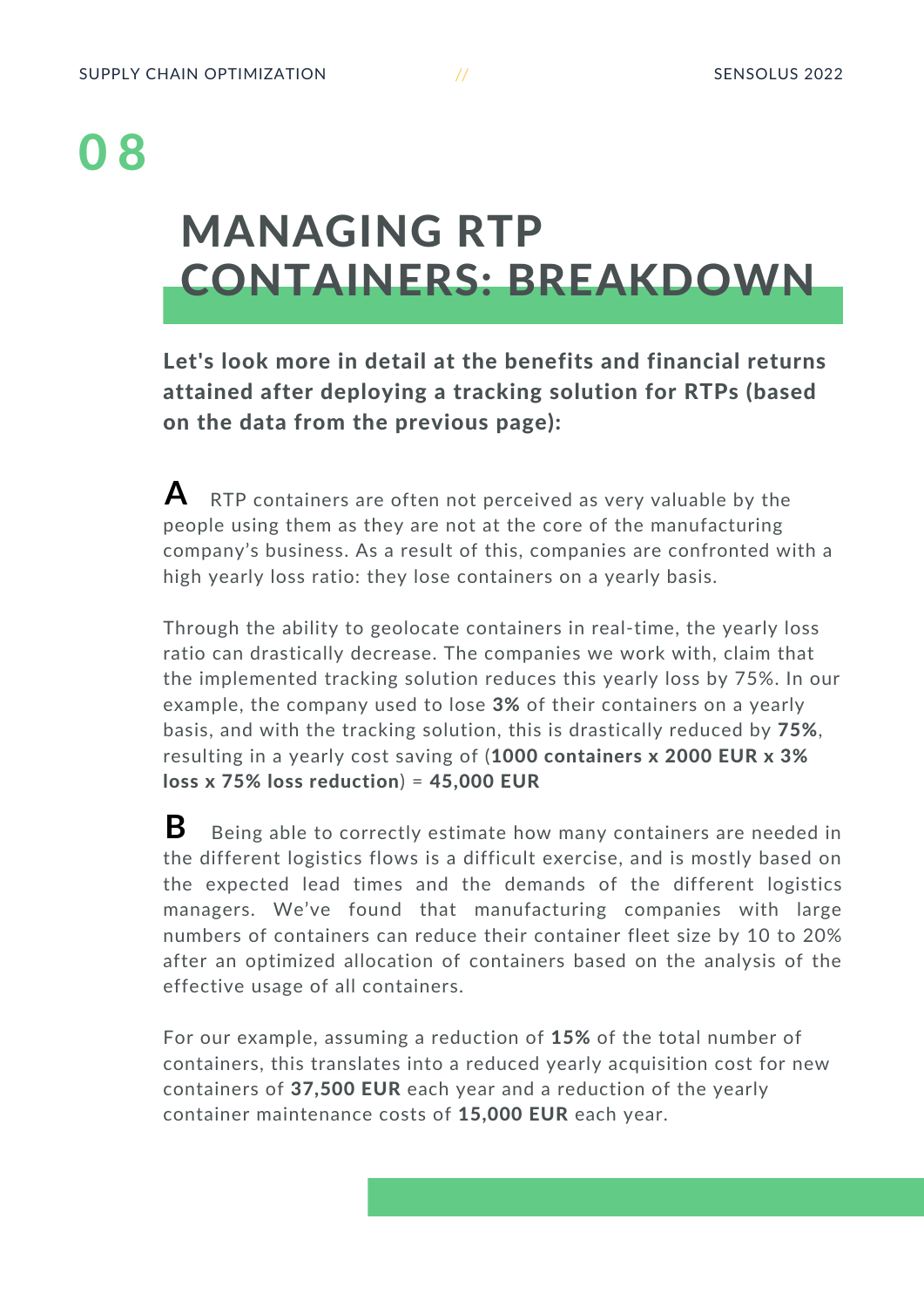#### MANAGING RTP CONTAINERS: BREAKDOWN

Let's look more in detail at the benefits and financial returns attained after deploying a tracking solution for RTPs (based on the data from the previous page):

RTP containers are often not perceived as very valuable by the people using them as they are not at the core of the manufacturing company's business. As a result of this, companies are confronted with a high yearly loss ratio: they lose containers on a yearly basis. **A**

Through the ability to geolocate containers in real-time, the yearly loss ratio can drastically decrease. The companies we work with, claim that the implemented tracking solution reduces this yearly loss by 75%. In our example, the company used to lose 3% of their containers on a yearly basis, and with the tracking solution, this is drastically reduced by 75%, resulting in a yearly cost saving of (1000 containers x 2000 EUR x 3%  $loss x 75% loss reduction = 45,000 EUR$ 

Being able to correctly estimate how many containers are needed in the different logistics flows is a difficult exercise, and is mostly based on the expected lead times and the demands of the different logistics managers. We've found that manufacturing companies with large numbers of containers can reduce their container fleet size by 10 to 20% after an optimized allocation of containers based on the analysis of the effective usage of all containers. **B**

For our example, assuming a reduction of 15% of the total number of containers, this translates into a reduced yearly acquisition cost for new containers of 37,500 EUR each year and a reduction of the yearly container maintenance costs of 15,000 EUR each year.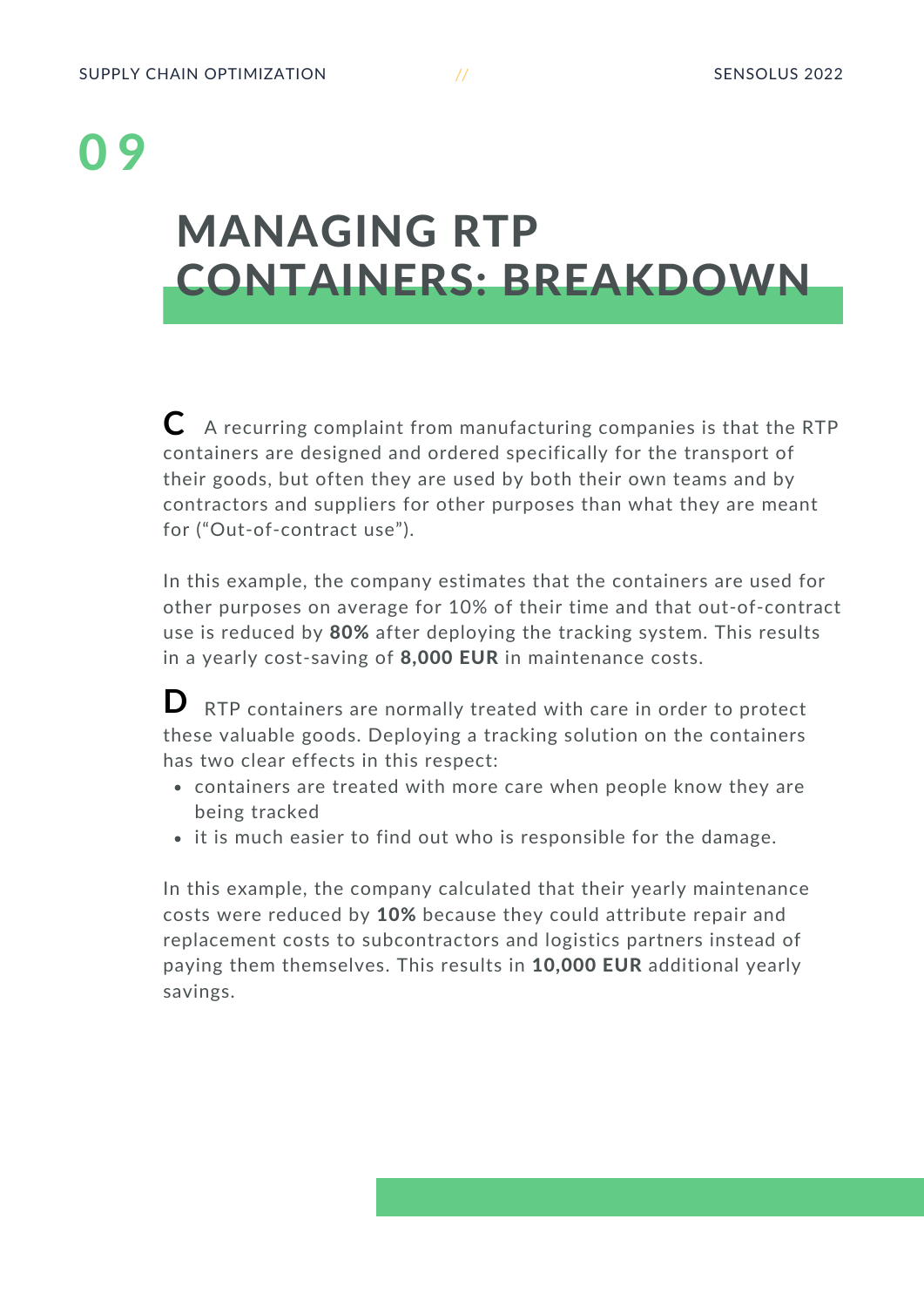#### MANAGING RTP CONTAINERS: BREAKDOWN

A recurring complaint from manufacturing companies is that the RTP **C** containers are designed and ordered specifically for the transport of their goods, but often they are used by both their own teams and by contractors and suppliers for other purposes than what they are meant for ("Out-of-contract use").

In this example, the company estimates that the containers are used for other purposes on average for 10% of their time and that out-of-contract use is reduced by 80% after deploying the tracking system. This results in a yearly cost-saving of 8,000 EUR in maintenance costs.

RTP containers are normally treated with care in order to protect these valuable goods. Deploying a tracking solution on the containers has two clear effects in this respect: **D**

- containers are treated with more care when people know they are being tracked
- it is much easier to find out who is responsible for the damage.

In this example, the company calculated that their yearly maintenance costs were reduced by 10% because they could attribute repair and replacement costs to subcontractors and logistics partners instead of paying them themselves. This results in 10,000 EUR additional yearly savings.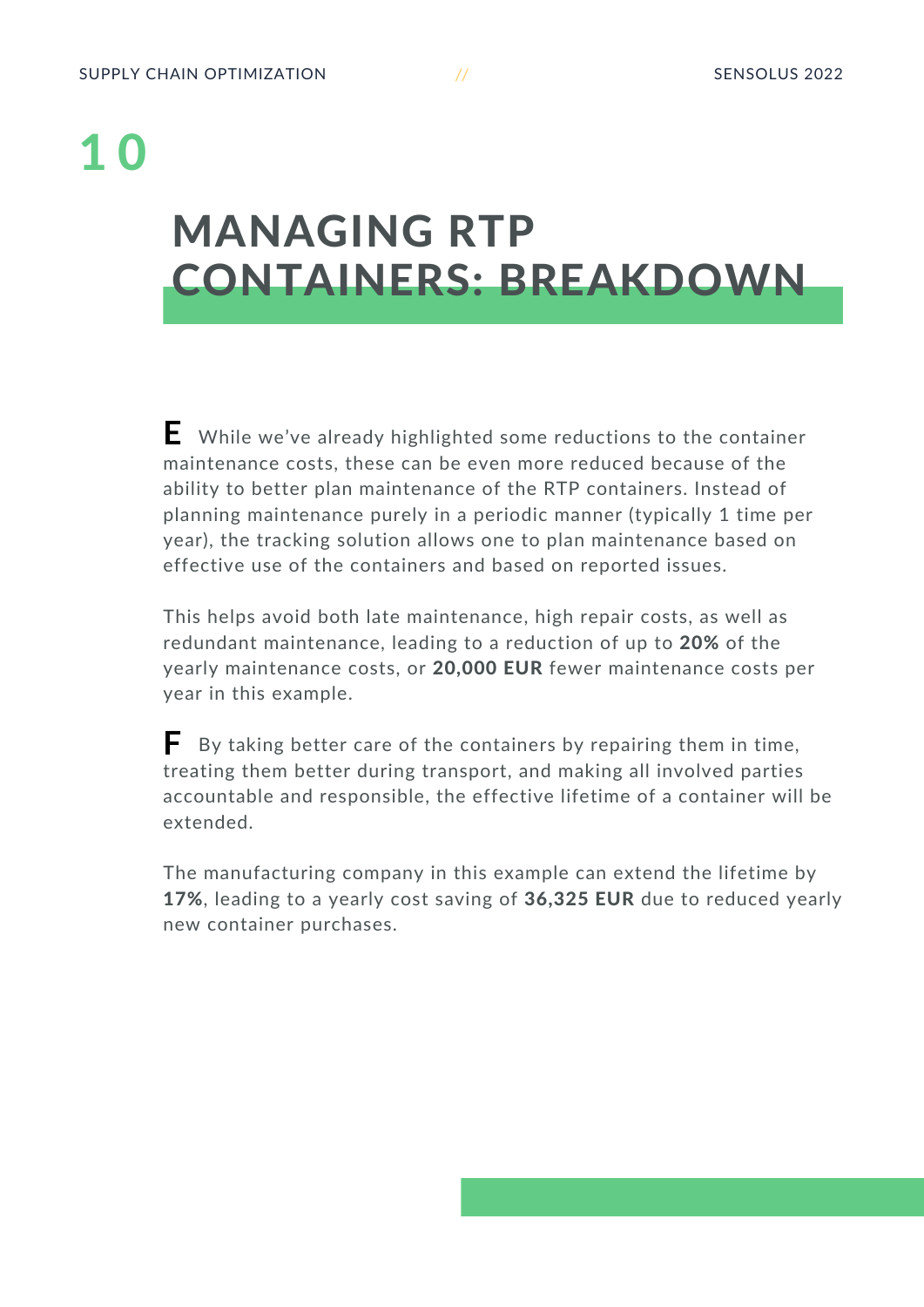#### MANAGING RTP CONTAINERS: BREAKDOWN

While we've already highlighted some reductions to the container **E** maintenance costs, these can be even more reduced because of the ability to better plan maintenance of the RTP containers. Instead of planning maintenance purely in a periodic manner (typically 1 time per year), the tracking solution allows one to plan maintenance based on effective use of the containers and based on reported issues.

This helps avoid both late maintenance, high repair costs, as well as redundant maintenance, leading to a reduction of up to 20% of the yearly maintenance costs, or 20,000 EUR fewer maintenance costs per year in this example.

By taking better care of the containers by repairing them in time, treating them better during transport, and making all involved parties accountable and responsible, the effective lifetime of a container will be extended. **F**

The manufacturing company in this example can extend the lifetime by 17%, leading to a yearly cost saving of 36,325 EUR due to reduced yearly new container purchases.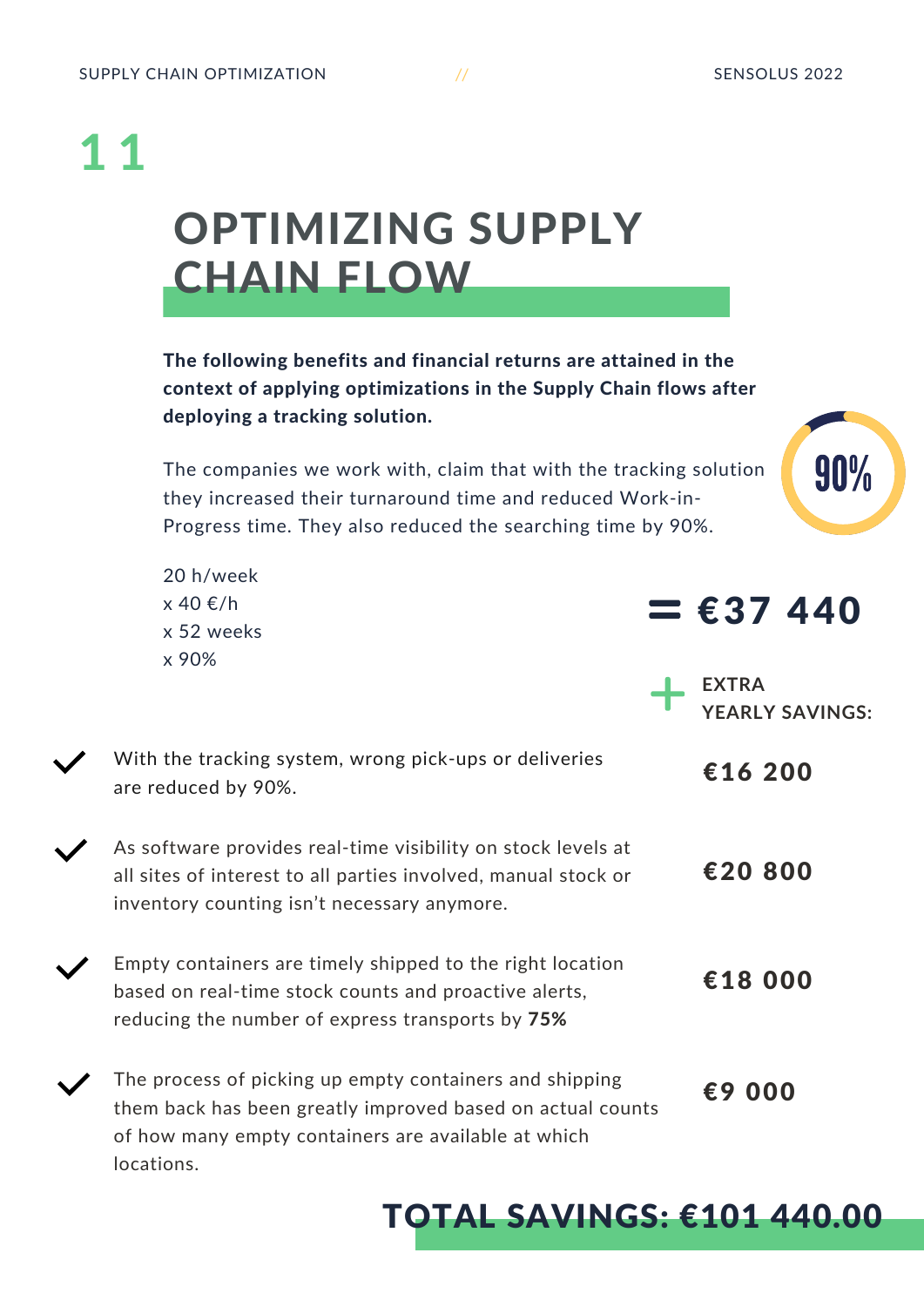### <span id="page-10-0"></span>OPTIMIZING SUPPLY CHAIN FLOW 1 1

The following benefits and financial returns are attained in the context of applying optimizations in the Supply Chain flows after deploying a tracking solution.

The companies we work with, claim that with the tracking solution they increased their turnaround time and reduced Work-in-Progress time. They also reduced the searching time by 90%.

20 h/week x 40 €/h x 52 weeks x 90%

locations.

 $=$   $£37440$ 

**YEARLY SAVINGS:**

90%

**EXTRA**

| With the tracking system, wrong pick-ups or deliveries<br>are reduced by 90%.                                                                                                 | €16 200 |
|-------------------------------------------------------------------------------------------------------------------------------------------------------------------------------|---------|
| As software provides real-time visibility on stock levels at<br>all sites of interest to all parties involved, manual stock or<br>inventory counting isn't necessary anymore. | €20 800 |
| Empty containers are timely shipped to the right location<br>based on real-time stock counts and proactive alerts,<br>reducing the number of express transports by 75%        | €18 000 |
| The process of picking up empty containers and shipping<br>them back has been greatly improved based on actual counts<br>of how many empty containers are available at which  | €9 000  |

#### TOTAL SAVINGS: €101 440.00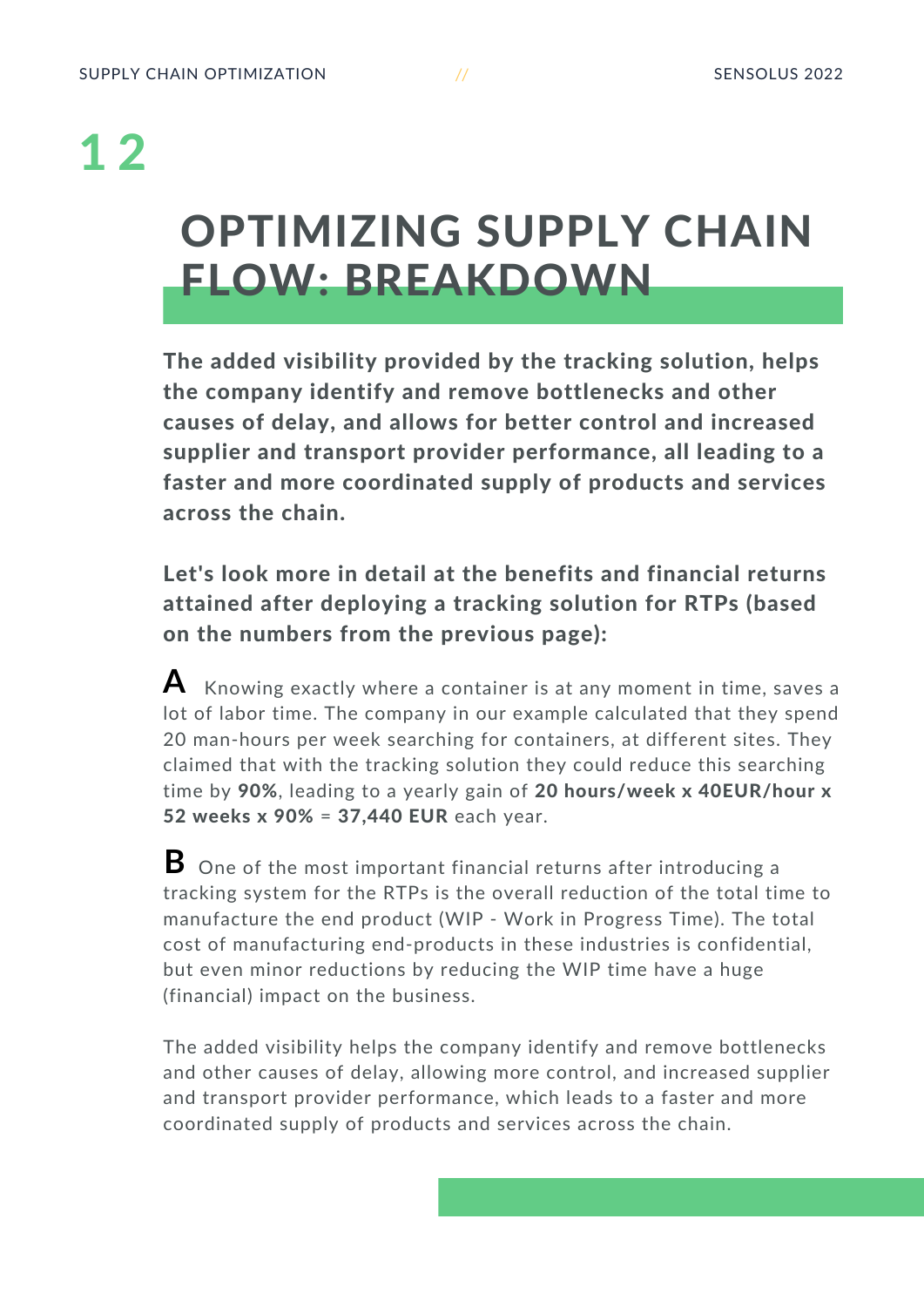#### OPTIMIZING SUPPLY CHAIN FLOW: BREAKDOWN

The added visibility provided by the tracking solution, helps the company identify and remove bottlenecks and other causes of delay, and allows for better control and increased supplier and transport provider performance, all leading to a faster and more coordinated supply of products and services across the chain.

Let's look more in detail at the benefits and financial returns attained after deploying a tracking solution for RTPs (based on the numbers from the previous page):

 $\blacktriangle$   $\;$  Knowing exactly where a container is at any moment in time, saves a lot of labor time. The company in our example calculated that they spend 20 man-hours per week searching for containers, at different sites. They claimed that with the tracking solution they could reduce this searching time by 90%, leading to a yearly gain of 20 hours/week x 40EUR/hour x 52 weeks x 90% = 37,440 EUR each year.

One of the most important financial returns after introducing a **B**tracking system for the RTPs is the overall reduction of the total time to manufacture the end product (WIP - Work in Progress Time). The total cost of manufacturing end-products in these industries is confidential, but even minor reductions by reducing the WIP time have a huge (financial) impact on the business.

The added visibility helps the company identify and remove bottlenecks and other causes of delay, allowing more control, and increased supplier and transport provider performance, which leads to a faster and more coordinated supply of products and services across the chain.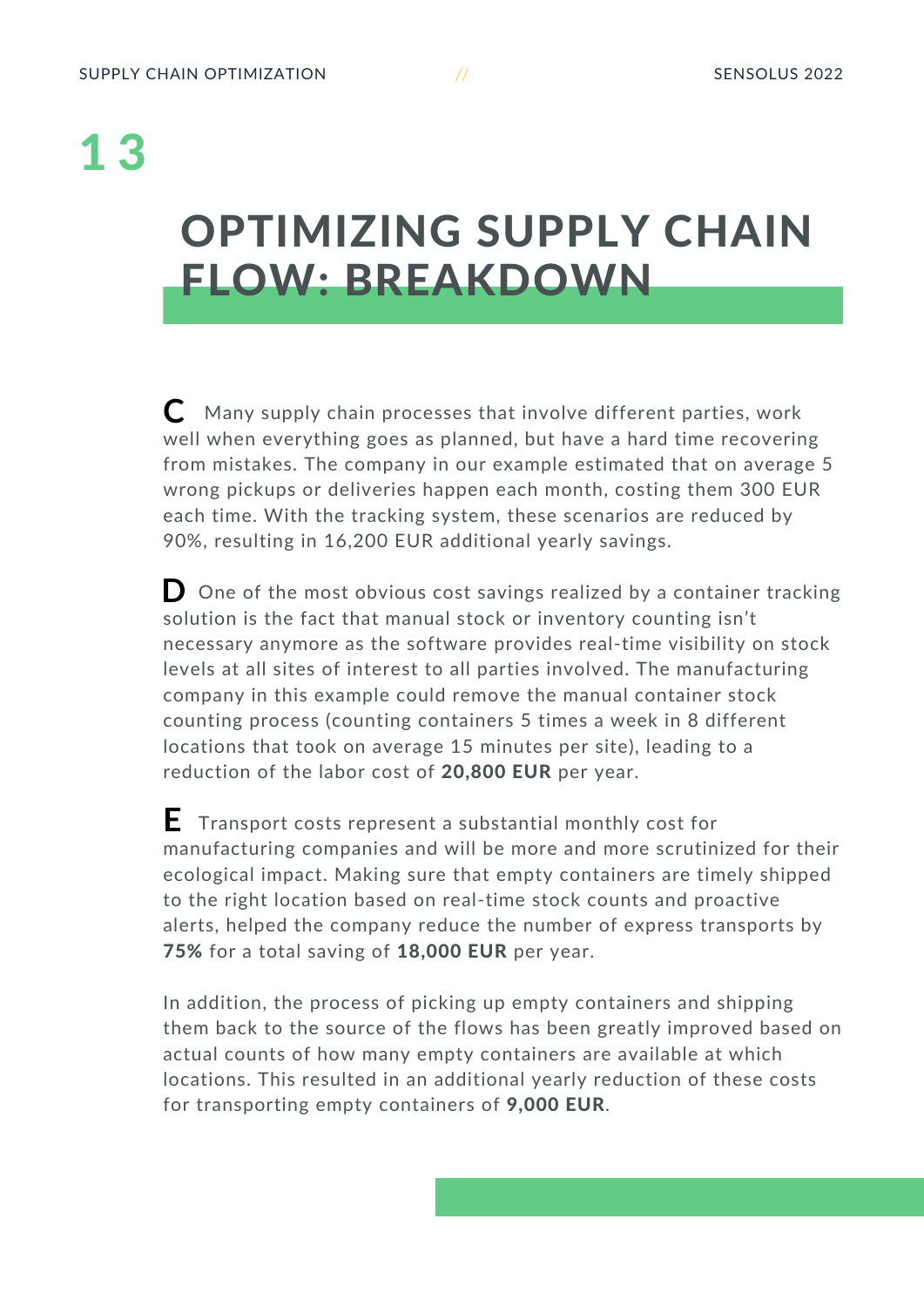#### OPTIMIZING SUPPLY CHAIN FLOW: BREAKDOWN

Many supply chain processes that involve different parties, work **C** well when everything goes as planned, but have a hard time recovering from mistakes. The company in our example estimated that on average 5 wrong pickups or deliveries happen each month, costing them 300 EUR each time. With the tracking system, these scenarios are reduced by 90%, resulting in 16,200 EUR additional yearly savings.

One of the most obvious cost savings realized by a container tracking **D** solution is the fact that manual stock or inventory counting isn't necessary anymore as the software provides real-time visibility on stock levels at all sites of interest to all parties involved. The manufacturing company in this example could remove the manual container stock counting process (counting containers 5 times a week in 8 different locations that took on average 15 minutes per site), leading to a reduction of the labor cost of 20,800 EUR per year.

Transport costs represent a substantial monthly cost for **E**manufacturing companies and will be more and more scrutinized for their ecological impact. Making sure that empty containers are timely shipped to the right location based on real-time stock counts and proactive alerts, helped the company reduce the number of express transports by 75% for a total saving of 18,000 EUR per year.

In addition, the process of picking up empty containers and shipping them back to the source of the flows has been greatly improved based on actual counts of how many empty containers are available at which locations. This resulted in an additional yearly reduction of these costs for transporting empty containers of 9,000 EUR.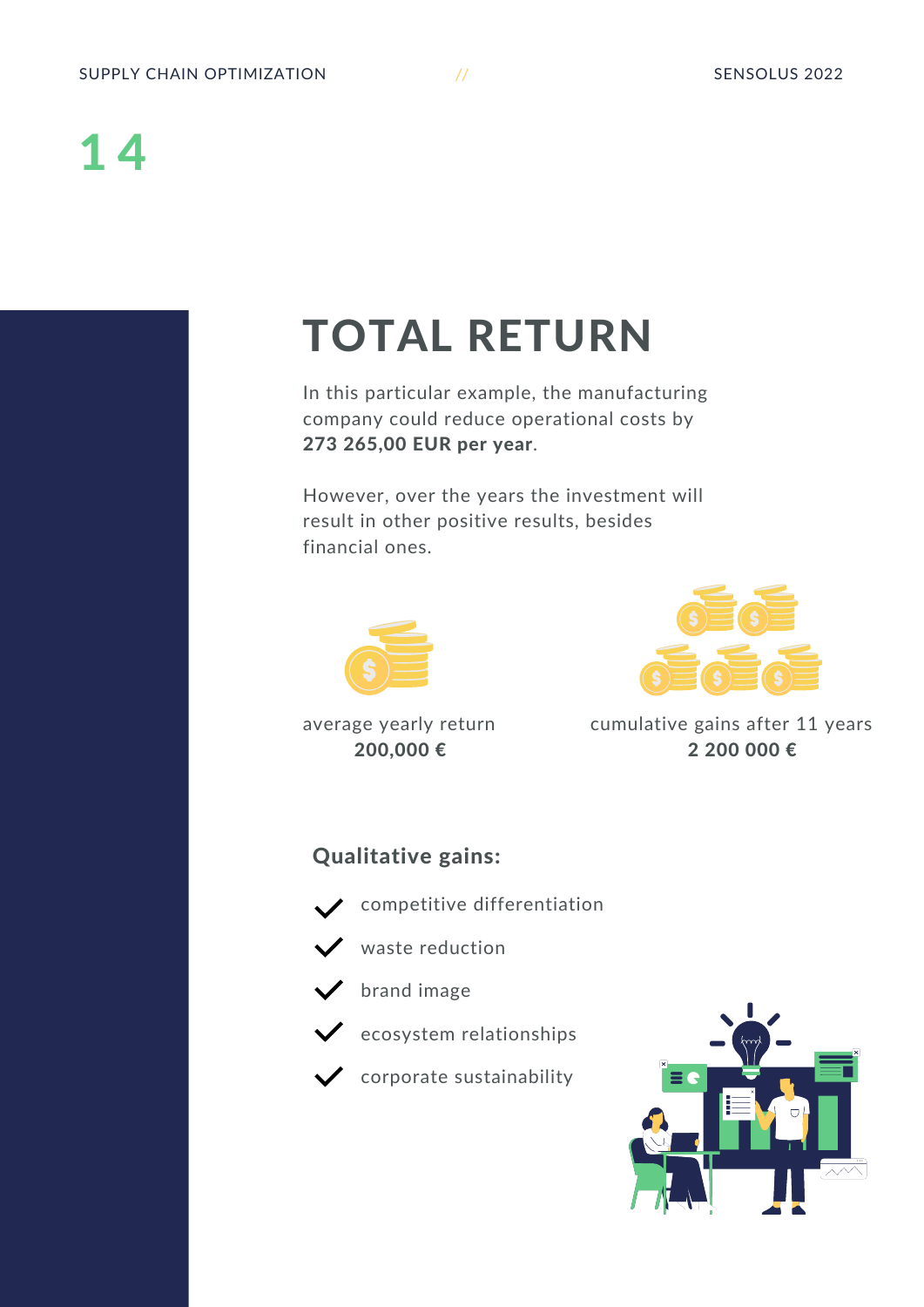#### <span id="page-13-0"></span>TOTAL RETURN

In this particular example, the manufacturing company could reduce operational costs by 273 265,00 EUR per year.

However, over the years the investment will result in other positive results, besides financial ones.



average yearly return 200,000 €



cumulative gains after 11 years 2 200 000 €

#### Qualitative gains:





 $\vee$  waste reduction



 $\checkmark$  ecosystem relationships



 $\checkmark$  corporate sustainability